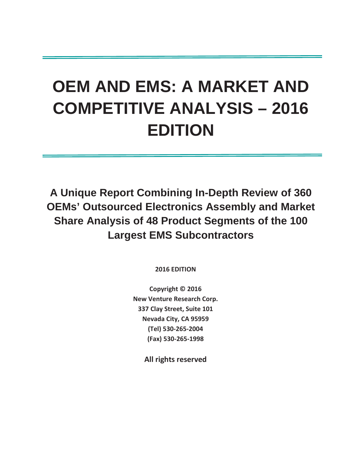# **OEM AND EMS: A MARKET AND COMPETITIVE ANALYSIS – 2016 EDITION**

**A Unique Report Combining In-Depth Review of 360 OEMs' Outsourced Electronics Assembly and Market Share Analysis of 48 Product Segments of the 100 Largest EMS Subcontractors**

**2016 EDITION** 

**Copyright © 2016 New Venture Research Corp. 337 Clay Street, Suite 101 Nevada City, CA 95959 (Tel) 530-265-2004 (Fax) 530-265-1998** 

**All rights reserved**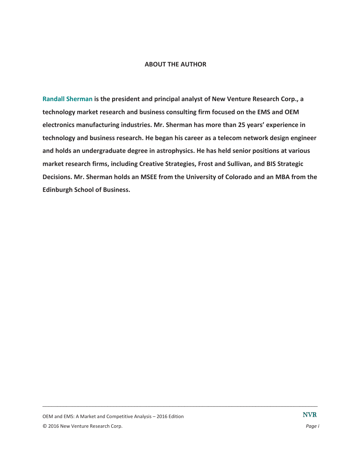#### **ABOUT THE AUTHOR**

**Randall Sherman is the president and principal analyst of New Venture Research Corp., a technology market research and business consulting firm focused on the EMS and OEM electronics manufacturing industries. Mr. Sherman has more than 25 years' experience in technology and business research. He began his career as a telecom network design engineer and holds an undergraduate degree in astrophysics. He has held senior positions at various market research firms, including Creative Strategies, Frost and Sullivan, and BIS Strategic Decisions. Mr. Sherman holds an MSEE from the University of Colorado and an MBA from the Edinburgh School of Business.**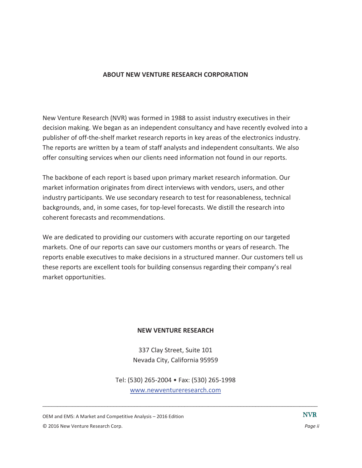### **ABOUT NEW VENTURE RESEARCH CORPORATION**

New Venture Research (NVR) was formed in 1988 to assist industry executives in their decision making. We began as an independent consultancy and have recently evolved into a publisher of off-the-shelf market research reports in key areas of the electronics industry. The reports are written by a team of staff analysts and independent consultants. We also offer consulting services when our clients need information not found in our reports.

The backbone of each report is based upon primary market research information. Our market information originates from direct interviews with vendors, users, and other industry participants. We use secondary research to test for reasonableness, technical backgrounds, and, in some cases, for top-level forecasts. We distill the research into coherent forecasts and recommendations.

We are dedicated to providing our customers with accurate reporting on our targeted markets. One of our reports can save our customers months or years of research. The reports enable executives to make decisions in a structured manner. Our customers tell us these reports are excellent tools for building consensus regarding their company's real market opportunities.

### **NEW VENTURE RESEARCH**

337 Clay Street, Suite 101 Nevada City, California 95959

Tel: (530) 265-2004 • Fax: (530) 265-1998 www.newventureresearch.com

 $\Box$ 

OEM and EMS: A Market and Competitive Analysis – 2016 Edition © 2016 New Venture Research Corp. *Page ii*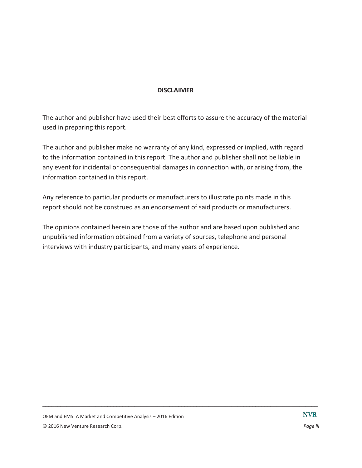### **DISCLAIMER**

The author and publisher have used their best efforts to assure the accuracy of the material used in preparing this report.

The author and publisher make no warranty of any kind, expressed or implied, with regard to the information contained in this report. The author and publisher shall not be liable in any event for incidental or consequential damages in connection with, or arising from, the information contained in this report.

Any reference to particular products or manufacturers to illustrate points made in this report should not be construed as an endorsement of said products or manufacturers.

The opinions contained herein are those of the author and are based upon published and unpublished information obtained from a variety of sources, telephone and personal interviews with industry participants, and many years of experience.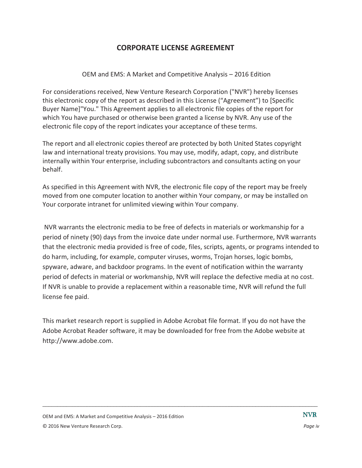# **CORPORATE LICENSE AGREEMENT**

### OEM and EMS: A Market and Competitive Analysis – 2016 Edition

For considerations received, New Venture Research Corporation ("NVR") hereby licenses this electronic copy of the report as described in this License ("Agreement") to [Specific Buyer Name]"You." This Agreement applies to all electronic file copies of the report for which You have purchased or otherwise been granted a license by NVR. Any use of the electronic file copy of the report indicates your acceptance of these terms.

The report and all electronic copies thereof are protected by both United States copyright law and international treaty provisions. You may use, modify, adapt, copy, and distribute internally within Your enterprise, including subcontractors and consultants acting on your behalf.

As specified in this Agreement with NVR, the electronic file copy of the report may be freely moved from one computer location to another within Your company, or may be installed on Your corporate intranet for unlimited viewing within Your company.

 NVR warrants the electronic media to be free of defects in materials or workmanship for a period of ninety (90) days from the invoice date under normal use. Furthermore, NVR warrants that the electronic media provided is free of code, files, scripts, agents, or programs intended to do harm, including, for example, computer viruses, worms, Trojan horses, logic bombs, spyware, adware, and backdoor programs. In the event of notification within the warranty period of defects in material or workmanship, NVR will replace the defective media at no cost. If NVR is unable to provide a replacement within a reasonable time, NVR will refund the full license fee paid.

This market research report is supplied in Adobe Acrobat file format. If you do not have the Adobe Acrobat Reader software, it may be downloaded for free from the Adobe website at http://www.adobe.com.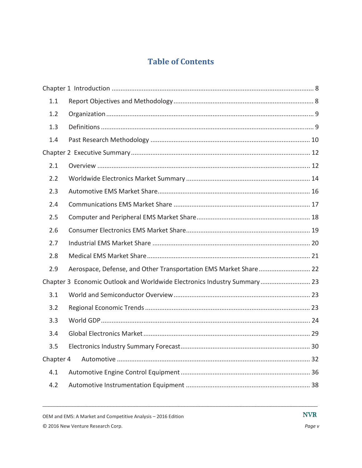# **Table of Contents**

| 1.1                                                                      |                                                                  |  |  |  |
|--------------------------------------------------------------------------|------------------------------------------------------------------|--|--|--|
| 1.2                                                                      |                                                                  |  |  |  |
| 1.3                                                                      |                                                                  |  |  |  |
| 1.4                                                                      |                                                                  |  |  |  |
|                                                                          |                                                                  |  |  |  |
| 2.1                                                                      |                                                                  |  |  |  |
| 2.2                                                                      |                                                                  |  |  |  |
| 2.3                                                                      |                                                                  |  |  |  |
| 2.4                                                                      |                                                                  |  |  |  |
| 2.5                                                                      |                                                                  |  |  |  |
| 2.6                                                                      |                                                                  |  |  |  |
| 2.7                                                                      |                                                                  |  |  |  |
| 2.8                                                                      |                                                                  |  |  |  |
| 2.9                                                                      | Aerospace, Defense, and Other Transportation EMS Market Share 22 |  |  |  |
| Chapter 3 Economic Outlook and Worldwide Electronics Industry Summary 23 |                                                                  |  |  |  |
| 3.1                                                                      |                                                                  |  |  |  |
| 3.2                                                                      |                                                                  |  |  |  |
| 3.3                                                                      |                                                                  |  |  |  |
| 3.4                                                                      |                                                                  |  |  |  |
| 3.5                                                                      |                                                                  |  |  |  |
| Chapter 4                                                                |                                                                  |  |  |  |
| 4.1                                                                      |                                                                  |  |  |  |
| 4.2                                                                      |                                                                  |  |  |  |

OEM and EMS: A Market and Competitive Analysis - 2016 Edition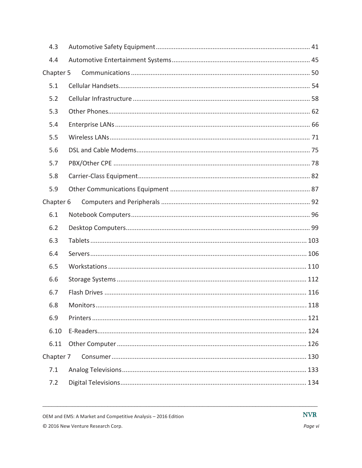| 4.3       |  |
|-----------|--|
| 4.4       |  |
| Chapter 5 |  |
| 5.1       |  |
| 5.2       |  |
| 5.3       |  |
| 5.4       |  |
| 5.5       |  |
| 5.6       |  |
| 5.7       |  |
| 5.8       |  |
| 5.9       |  |
| Chapter 6 |  |
| 6.1       |  |
| 6.2       |  |
| 6.3       |  |
| 6.4       |  |
| 6.5       |  |
| 6.6       |  |
| 6.7       |  |
| 6.8       |  |
| 6.9       |  |
| 6.10      |  |
| 6.11      |  |
| Chapter 7 |  |
| 7.1       |  |
| 7.2       |  |

OEM and EMS: A Market and Competitive Analysis - 2016 Edition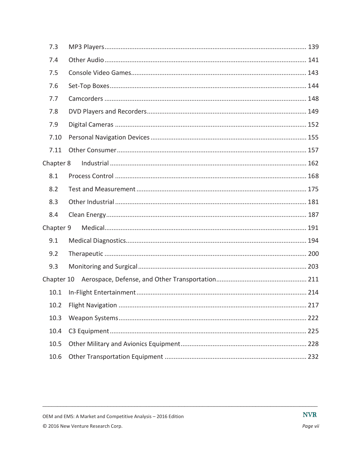| 7.3        |     |
|------------|-----|
| 7.4        |     |
| 7.5        |     |
| 7.6        |     |
| 7.7        |     |
| 7.8        |     |
| 7.9        |     |
| 7.10       |     |
| 7.11       |     |
| Chapter 8  |     |
| 8.1        |     |
| 8.2        |     |
| 8.3        |     |
| 8.4        |     |
| Chapter 9  |     |
| 9.1        |     |
| 9.2        |     |
| 9.3        |     |
| Chapter 10 |     |
| 10.1       |     |
| 10.2       |     |
| 10.3       | 222 |
| 10.4       |     |
| 10.5       |     |
| 10.6       |     |

OEM and EMS: A Market and Competitive Analysis - 2016 Edition

© 2016 New Venture Research Corp.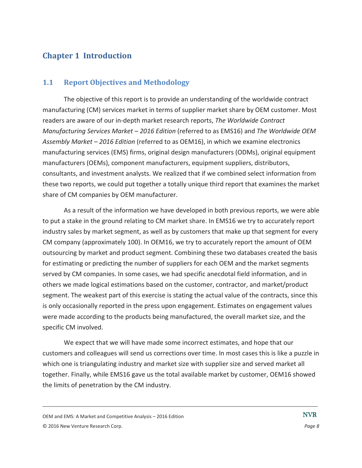# **Chapter 1 Introduction**

## **1.1 Report Objectives and Methodology**

The objective of this report is to provide an understanding of the worldwide contract manufacturing (CM) services market in terms of supplier market share by OEM customer. Most readers are aware of our in-depth market research reports, *The Worldwide Contract Manufacturing Services Market – 2016 Edition* (referred to as EMS16) and *The Worldwide OEM Assembly Market – 2016 Edition* (referred to as OEM16), in which we examine electronics manufacturing services (EMS) firms, original design manufacturers (ODMs), original equipment manufacturers (OEMs), component manufacturers, equipment suppliers, distributors, consultants, and investment analysts. We realized that if we combined select information from these two reports, we could put together a totally unique third report that examines the market share of CM companies by OEM manufacturer.

As a result of the information we have developed in both previous reports, we were able to put a stake in the ground relating to CM market share. In EMS16 we try to accurately report industry sales by market segment, as well as by customers that make up that segment for every CM company (approximately 100). In OEM16, we try to accurately report the amount of OEM outsourcing by market and product segment. Combining these two databases created the basis for estimating or predicting the number of suppliers for each OEM and the market segments served by CM companies. In some cases, we had specific anecdotal field information, and in others we made logical estimations based on the customer, contractor, and market/product segment. The weakest part of this exercise is stating the actual value of the contracts, since this is only occasionally reported in the press upon engagement. Estimates on engagement values were made according to the products being manufactured, the overall market size, and the specific CM involved.

We expect that we will have made some incorrect estimates, and hope that our customers and colleagues will send us corrections over time. In most cases this is like a puzzle in which one is triangulating industry and market size with supplier size and served market all together. Finally, while EMS16 gave us the total available market by customer, OEM16 showed the limits of penetration by the CM industry.

OEM and EMS: A Market and Competitive Analysis – 2016 Edition © 2016 New Venture Research Corp. *Page 8*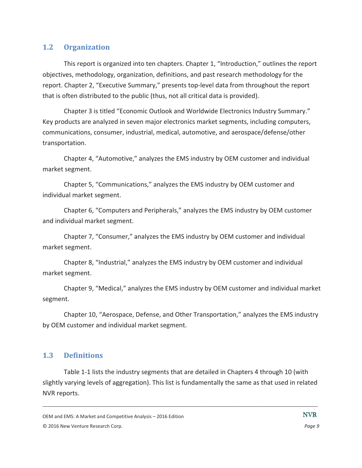### **1.2 Organization**

This report is organized into ten chapters. Chapter 1, "Introduction," outlines the report objectives, methodology, organization, definitions, and past research methodology for the report. Chapter 2, "Executive Summary," presents top-level data from throughout the report that is often distributed to the public (thus, not all critical data is provided).

Chapter 3 is titled "Economic Outlook and Worldwide Electronics Industry Summary." Key products are analyzed in seven major electronics market segments, including computers, communications, consumer, industrial, medical, automotive, and aerospace/defense/other transportation.

Chapter 4, "Automotive," analyzes the EMS industry by OEM customer and individual market segment.

Chapter 5, "Communications," analyzes the EMS industry by OEM customer and individual market segment.

Chapter 6, "Computers and Peripherals," analyzes the EMS industry by OEM customer and individual market segment.

Chapter 7, "Consumer," analyzes the EMS industry by OEM customer and individual market segment.

Chapter 8, "Industrial," analyzes the EMS industry by OEM customer and individual market segment.

Chapter 9, "Medical," analyzes the EMS industry by OEM customer and individual market segment.

Chapter 10, "Aerospace, Defense, and Other Transportation," analyzes the EMS industry by OEM customer and individual market segment.

### **1.3 Definitions**

Table 1-1 lists the industry segments that are detailed in Chapters 4 through 10 (with slightly varying levels of aggregation). This list is fundamentally the same as that used in related NVR reports.

OEM and EMS: A Market and Competitive Analysis – 2016 Edition

<sup>© 2016</sup> New Venture Research Corp. *Page 9*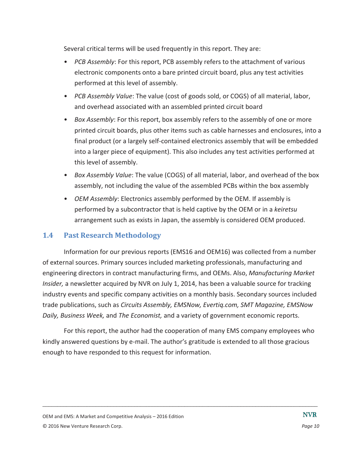Several critical terms will be used frequently in this report. They are:

- *PCB Assembly*: For this report, PCB assembly refers to the attachment of various electronic components onto a bare printed circuit board, plus any test activities performed at this level of assembly.
- *PCB Assembly Value*: The value (cost of goods sold, or COGS) of all material, labor, and overhead associated with an assembled printed circuit board
- *Box Assembly*: For this report, box assembly refers to the assembly of one or more printed circuit boards, plus other items such as cable harnesses and enclosures, into a final product (or a largely self-contained electronics assembly that will be embedded into a larger piece of equipment). This also includes any test activities performed at this level of assembly.
- *Box Assembly Value*: The value (COGS) of all material, labor, and overhead of the box assembly, not including the value of the assembled PCBs within the box assembly
- *OEM Assembly*: Electronics assembly performed by the OEM. If assembly is performed by a subcontractor that is held captive by the OEM or in a *keiretsu* arrangement such as exists in Japan, the assembly is considered OEM produced.

### **1.4 Past Research Methodology**

Information for our previous reports (EMS16 and OEM16) was collected from a number of external sources. Primary sources included marketing professionals, manufacturing and engineering directors in contract manufacturing firms, and OEMs. Also, *Manufacturing Market Insider,* a newsletter acquired by NVR on July 1, 2014, has been a valuable source for tracking industry events and specific company activities on a monthly basis. Secondary sources included trade publications, such as *Circuits Assembly, EMSNow, Evertiq.com, SMT Magazine, EMSNow Daily, Business Week,* and *The Economist,* and a variety of government economic reports.

For this report, the author had the cooperation of many EMS company employees who kindly answered questions by e-mail. The author's gratitude is extended to all those gracious enough to have responded to this request for information.